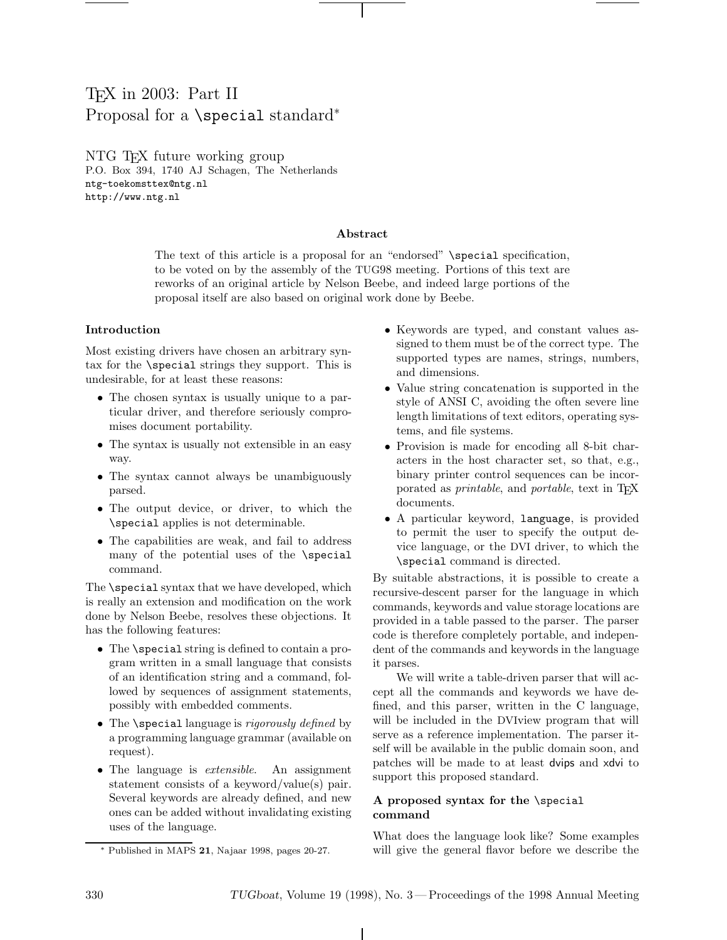# TEX in 2003: Part II Proposal for a \special standard<sup>\*</sup>

NTG TEX future working group P.O. Box 394, 1740 AJ Schagen, The Netherlands ntg-toekomsttex@ntg.nl http://www.ntg.nl

### **Abstract**

The text of this article is a proposal for an "endorsed" \special specification, to be voted on by the assembly of the TUG98 meeting. Portions of this text are reworks of an original article by Nelson Beebe, and indeed large portions of the proposal itself are also based on original work done by Beebe.

## **Introduction**

Most existing drivers have chosen an arbitrary syntax for the \special strings they support. This is undesirable, for at least these reasons:

- The chosen syntax is usually unique to a particular driver, and therefore seriously compromises document portability.
- The syntax is usually not extensible in an easy way.
- The syntax cannot always be unambiguously parsed.
- The output device, or driver, to which the \special applies is not determinable.
- The capabilities are weak, and fail to address many of the potential uses of the \special command.

The **\special** syntax that we have developed, which is really an extension and modification on the work done by Nelson Beebe, resolves these objections. It has the following features:

- The \special string is defined to contain a program written in a small language that consists of an identification string and a command, followed by sequences of assignment statements, possibly with embedded comments.
- The \special language is *rigorously defined* by a programming language grammar (available on request).
- The language is *extensible*. An assignment statement consists of a keyword/value(s) pair. Several keywords are already defined, and new ones can be added without invalidating existing uses of the language.
- Keywords are typed, and constant values assigned to them must be of the correct type. The supported types are names, strings, numbers, and dimensions.
- Value string concatenation is supported in the style of ANSI C, avoiding the often severe line length limitations of text editors, operating systems, and file systems.
- Provision is made for encoding all 8-bit characters in the host character set, so that, e.g., binary printer control sequences can be incorporated as *printable*, and *portable*, text in TFX documents.
- A particular keyword, language, is provided to permit the user to specify the output device language, or the DVI driver, to which the \special command is directed.

By suitable abstractions, it is possible to create a recursive-descent parser for the language in which commands, keywords and value storage locations are provided in a table passed to the parser. The parser code is therefore completely portable, and independent of the commands and keywords in the language it parses.

We will write a table-driven parser that will accept all the commands and keywords we have defined, and this parser, written in the C language, will be included in the DVIview program that will serve as a reference implementation. The parser itself will be available in the public domain soon, and patches will be made to at least dvips and xdvi to support this proposed standard.

# **A proposed syntax for the** \special **command**

What does the language look like? Some examples will give the general flavor before we describe the

<sup>∗</sup> Published in MAPS **21**, Najaar 1998, pages 20-27.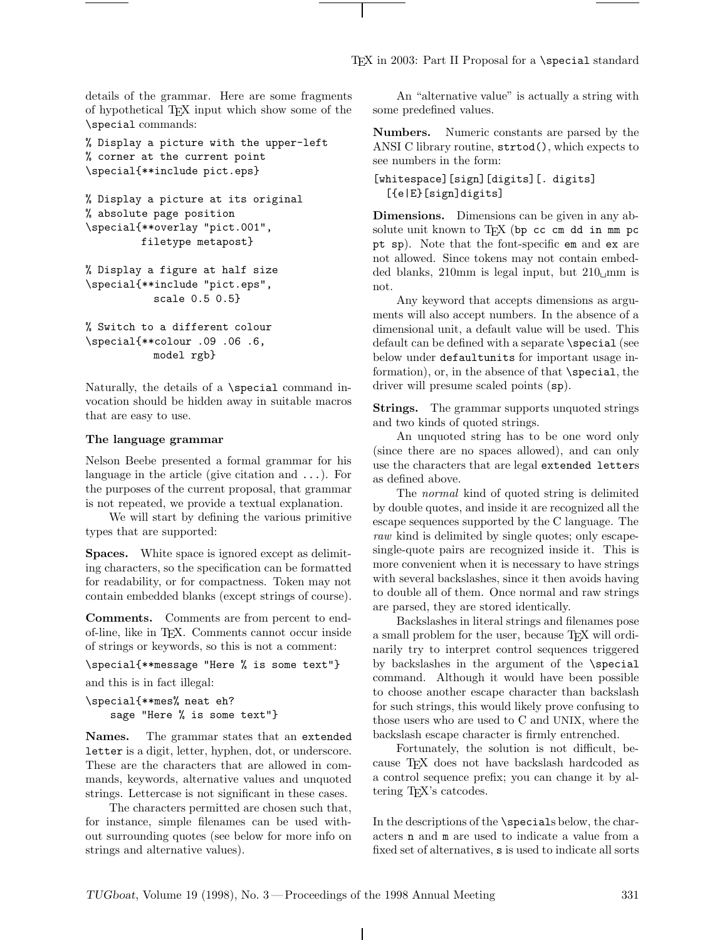TEX in 2003: Part II Proposal for a \special standard

details of the grammar. Here are some fragments of hypothetical TEX input which show some of the \special commands:

% Display a picture with the upper-left % corner at the current point \special{\*\*include pict.eps}

```
% Display a picture at its original
% absolute page position
\special{**overlay "pict.001",
         filetype metapost}
```
% Display a figure at half size \special{\*\*include "pict.eps", scale 0.5 0.5}

% Switch to a different colour \special{\*\*colour .09 .06 .6, model rgb}

Naturally, the details of a \special command invocation should be hidden away in suitable macros that are easy to use.

#### **The language grammar**

Nelson Beebe presented a formal grammar for his language in the article (give citation and  $\dots$ ). For the purposes of the current proposal, that grammar is not repeated, we provide a textual explanation.

We will start by defining the various primitive types that are supported:

**Spaces.** White space is ignored except as delimiting characters, so the specification can be formatted for readability, or for compactness. Token may not contain embedded blanks (except strings of course).

**Comments.** Comments are from percent to endof-line, like in TEX. Comments cannot occur inside of strings or keywords, so this is not a comment:

```
\special{**message "Here % is some text"}
and this is in fact illegal:
```

```
\special{**mes% neat eh?
    sage "Here % is some text"}
```
**Names.** The grammar states that an extended letter is a digit, letter, hyphen, dot, or underscore. These are the characters that are allowed in commands, keywords, alternative values and unquoted strings. Lettercase is not significant in these cases.

The characters permitted are chosen such that, for instance, simple filenames can be used without surrounding quotes (see below for more info on strings and alternative values).

An "alternative value" is actually a string with some predefined values.

**Numbers.** Numeric constants are parsed by the ANSI C library routine, strtod(), which expects to see numbers in the form:

```
[whitespace][sign][digits][. digits]
  [{e|E}[sign]digits]
```
**Dimensions.** Dimensions can be given in any absolute unit known to TFX (bp cc cm dd in mm pc pt sp). Note that the font-specific em and ex are not allowed. Since tokens may not contain embedded blanks, 210mm is legal input, but  $210 \text{ m}$  is not.

Any keyword that accepts dimensions as arguments will also accept numbers. In the absence of a dimensional unit, a default value will be used. This default can be defined with a separate \special (see below under defaultunits for important usage information), or, in the absence of that \special, the driver will presume scaled points (sp).

**Strings.** The grammar supports unquoted strings and two kinds of quoted strings.

An unquoted string has to be one word only (since there are no spaces allowed), and can only use the characters that are legal extended letters as defined above.

The normal kind of quoted string is delimited by double quotes, and inside it are recognized all the escape sequences supported by the C language. The raw kind is delimited by single quotes; only escapesingle-quote pairs are recognized inside it. This is more convenient when it is necessary to have strings with several backslashes, since it then avoids having to double all of them. Once normal and raw strings are parsed, they are stored identically.

Backslashes in literal strings and filenames pose a small problem for the user, because T<sub>EX</sub> will ordinarily try to interpret control sequences triggered by backslashes in the argument of the \special command. Although it would have been possible to choose another escape character than backslash for such strings, this would likely prove confusing to those users who are used to C and UNIX, where the backslash escape character is firmly entrenched.

Fortunately, the solution is not difficult, because TEX does not have backslash hardcoded as a control sequence prefix; you can change it by altering TEX's catcodes.

In the descriptions of the \specials below, the characters n and m are used to indicate a value from a fixed set of alternatives, s is used to indicate all sorts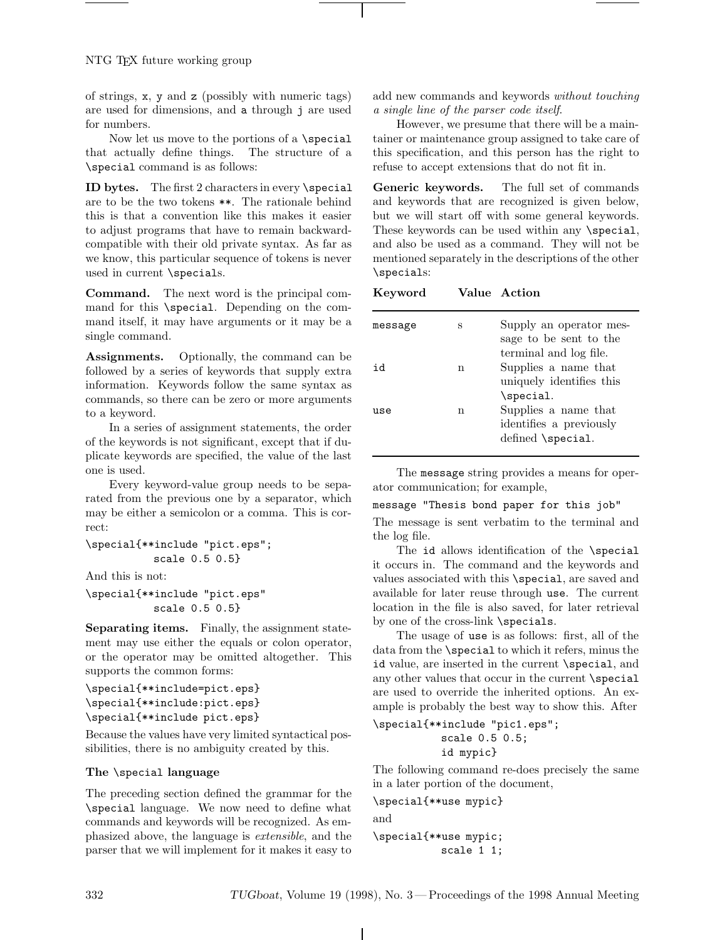of strings, x, y and z (possibly with numeric tags) are used for dimensions, and a through j are used for numbers.

Now let us move to the portions of a \special that actually define things. The structure of a \special command is as follows:

**ID bytes.** The first 2 characters in every \special are to be the two tokens \*\*. The rationale behind this is that a convention like this makes it easier to adjust programs that have to remain backwardcompatible with their old private syntax. As far as we know, this particular sequence of tokens is never used in current \specials.

**Command.** The next word is the principal command for this \special. Depending on the command itself, it may have arguments or it may be a single command.

**Assignments.** Optionally, the command can be followed by a series of keywords that supply extra information. Keywords follow the same syntax as commands, so there can be zero or more arguments to a keyword.

In a series of assignment statements, the order of the keywords is not significant, except that if duplicate keywords are specified, the value of the last one is used.

Every keyword-value group needs to be separated from the previous one by a separator, which may be either a semicolon or a comma. This is correct:

```
\special{**include "pict.eps";
           scale 0.5 0.5}
```
And this is not:

```
\special{**include "pict.eps"
           scale 0.5 0.5}
```
**Separating items.** Finally, the assignment statement may use either the equals or colon operator, or the operator may be omitted altogether. This supports the common forms:

```
\special{**include=pict.eps}
\special{**include:pict.eps}
\special{**include pict.eps}
```
Because the values have very limited syntactical possibilities, there is no ambiguity created by this.

# **The** \special **language**

The preceding section defined the grammar for the \special language. We now need to define what commands and keywords will be recognized. As emphasized above, the language is extensible, and the parser that we will implement for it makes it easy to add new commands and keywords without touching a single line of the parser code itself.

However, we presume that there will be a maintainer or maintenance group assigned to take care of this specification, and this person has the right to refuse to accept extensions that do not fit in.

**Generic keywords.** The full set of commands and keywords that are recognized is given below, but we will start off with some general keywords. These keywords can be used within any \special, and also be used as a command. They will not be mentioned separately in the descriptions of the other \specials:

#### **Keyword Value Action**

| message | S | Supply an operator mes-<br>sage to be sent to the |
|---------|---|---------------------------------------------------|
|         |   | terminal and log file.                            |
| h r     | n | Supplies a name that<br>uniquely identifies this  |
|         |   | \special.                                         |
| use     | n | Supplies a name that                              |
|         |   | identifies a previously                           |
|         |   | defined \special.                                 |

The message string provides a means for operator communication; for example,

```
message "Thesis bond paper for this job"
```
The message is sent verbatim to the terminal and the log file.

The id allows identification of the \special it occurs in. The command and the keywords and values associated with this \special, are saved and available for later reuse through use. The current location in the file is also saved, for later retrieval by one of the cross-link \specials.

The usage of use is as follows: first, all of the data from the \special to which it refers, minus the id value, are inserted in the current \special, and any other values that occur in the current \special are used to override the inherited options. An example is probably the best way to show this. After

```
\special{**include "pic1.eps";
           scale 0.5 0.5;
           id mypic}
```
The following command re-does precisely the same in a later portion of the document,

\special{\*\*use mypic} and \special{\*\*use mypic; scale 1 1;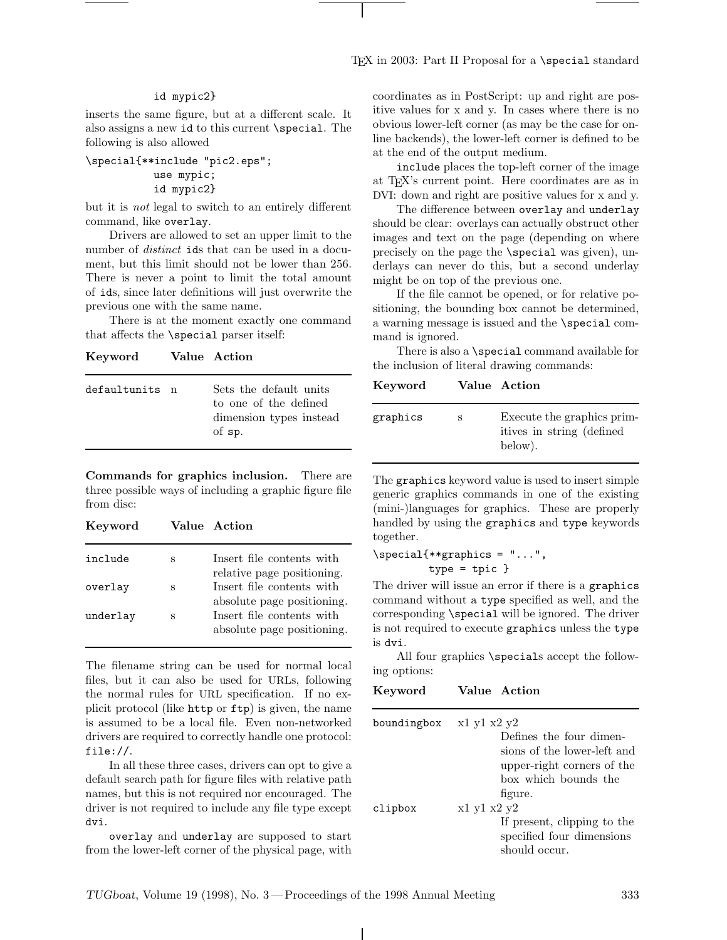## id mypic2}

inserts the same figure, but at a different scale. It also assigns a new id to this current \special. The following is also allowed

```
\special{**include "pic2.eps";
           use mypic;
           id mypic2}
```
but it is not legal to switch to an entirely different command, like overlay.

Drivers are allowed to set an upper limit to the number of *distinct* ids that can be used in a document, but this limit should not be lower than 256. There is never a point to limit the total amount of ids, since later definitions will just overwrite the previous one with the same name.

There is at the moment exactly one command that affects the \special parser itself:

**Keyword Value Action**

| defaultunits n | Sets the default units<br>to one of the defined<br>dimension types instead |
|----------------|----------------------------------------------------------------------------|
|                | of sp.                                                                     |

**Commands for graphics inclusion.** There are three possible ways of including a graphic figure file from disc:

| Keyword  |   | Value Action                                            |
|----------|---|---------------------------------------------------------|
| include  | S | Insert file contents with<br>relative page positioning. |
| overlay  | S | Insert file contents with<br>absolute page positioning. |
| underlay | S | Insert file contents with<br>absolute page positioning. |

The filename string can be used for normal local files, but it can also be used for URLs, following the normal rules for URL specification. If no explicit protocol (like http or ftp) is given, the name is assumed to be a local file. Even non-networked drivers are required to correctly handle one protocol: file://.

In all these three cases, drivers can opt to give a default search path for figure files with relative path names, but this is not required nor encouraged. The driver is not required to include any file type except dvi.

overlay and underlay are supposed to start from the lower-left corner of the physical page, with coordinates as in PostScript: up and right are positive values for x and y. In cases where there is no obvious lower-left corner (as may be the case for online backends), the lower-left corner is defined to be at the end of the output medium.

include places the top-left corner of the image at TEX's current point. Here coordinates are as in DVI: down and right are positive values for x and y.

The difference between overlay and underlay should be clear: overlays can actually obstruct other images and text on the page (depending on where precisely on the page the \special was given), underlays can never do this, but a second underlay might be on top of the previous one.

If the file cannot be opened, or for relative positioning, the bounding box cannot be determined, a warning message is issued and the \special command is ignored.

There is also a \special command available for the inclusion of literal drawing commands:

**Keyword Value Action**

| graphics | S | Execute the graphics prim-<br>itives in string (defined<br>below). |
|----------|---|--------------------------------------------------------------------|
|          |   |                                                                    |
|          |   |                                                                    |

The graphics keyword value is used to insert simple generic graphics commands in one of the existing (mini-)languages for graphics. These are properly handled by using the graphics and type keywords together.

```
\special{**graphics = "...",
         type = topic}
```
The driver will issue an error if there is a graphics command without a type specified as well, and the corresponding \special will be ignored. The driver is not required to execute graphics unless the type is dvi.

All four graphics \specials accept the following options:

```
Keyword Value Action
boundingbox x1 y1 x2 y2Defines the four dimen-
                      sions of the lower-left and
                      upper-right corners of the
                      box which bounds the
                      figure.
clipbox x1 y1 x2 y2
                      If present, clipping to the
                      specified four dimensions
                      should occur.
```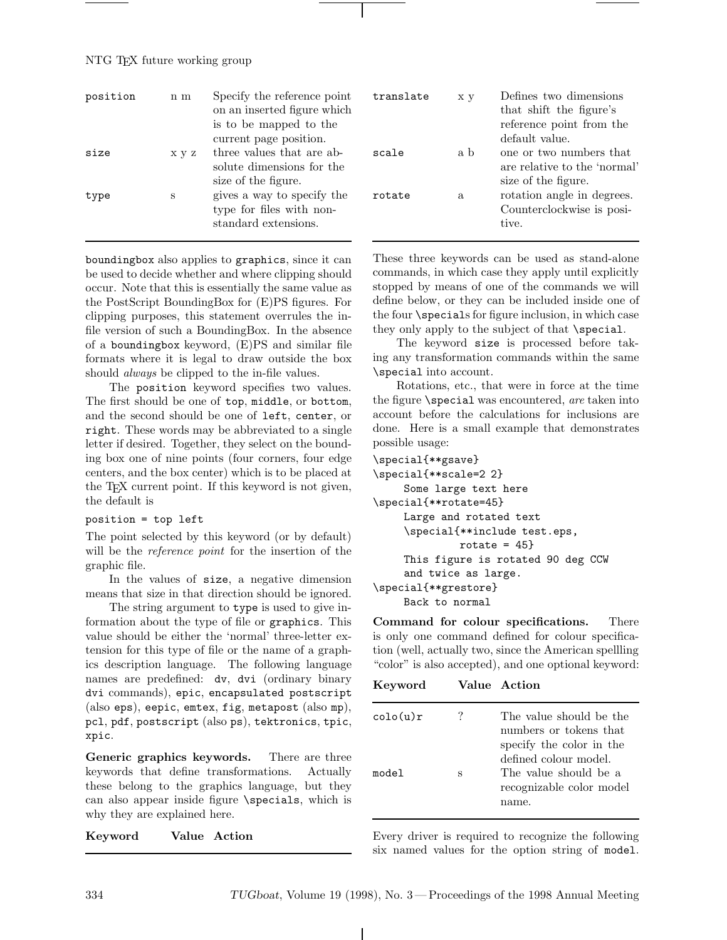# NTG TEX future working group

| position | $n \, m$ | Specify the reference point<br>on an inserted figure which<br>is to be mapped to the<br>current page position. | translate | x y | Defines two dimensions<br>that shift the figure's<br>reference point from the<br>default value. |
|----------|----------|----------------------------------------------------------------------------------------------------------------|-----------|-----|-------------------------------------------------------------------------------------------------|
| size     | x y z    | three values that are ab-<br>solute dimensions for the<br>size of the figure.                                  | scale     | a b | one or two numbers that<br>are relative to the 'normal'<br>size of the figure.                  |
| type     | S        | gives a way to specify the<br>type for files with non-<br>standard extensions.                                 | rotate    | a   | rotation angle in degrees.<br>Counterclockwise is posi-<br>tive.                                |

boundingbox also applies to graphics, since it can be used to decide whether and where clipping should occur. Note that this is essentially the same value as the PostScript BoundingBox for (E)PS figures. For clipping purposes, this statement overrules the infile version of such a BoundingBox. In the absence of a boundingbox keyword, (E)PS and similar file formats where it is legal to draw outside the box should always be clipped to the in-file values.

The position keyword specifies two values. The first should be one of top, middle, or bottom, and the second should be one of left, center, or right. These words may be abbreviated to a single letter if desired. Together, they select on the bounding box one of nine points (four corners, four edge centers, and the box center) which is to be placed at the T<sub>E</sub>X current point. If this keyword is not given, the default is

# position = top left

The point selected by this keyword (or by default) will be the *reference point* for the insertion of the graphic file.

In the values of size, a negative dimension means that size in that direction should be ignored.

The string argument to type is used to give information about the type of file or graphics. This value should be either the 'normal' three-letter extension for this type of file or the name of a graphics description language. The following language names are predefined: dv, dvi (ordinary binary dvi commands), epic, encapsulated postscript (also eps), eepic, emtex, fig, metapost (also mp), pcl, pdf, postscript (also ps), tektronics, tpic, xpic.

**Generic graphics keywords.** There are three keywords that define transformations. Actually these belong to the graphics language, but they can also appear inside figure \specials, which is why they are explained here.

**Keyword Value Action**

These three keywords can be used as stand-alone commands, in which case they apply until explicitly stopped by means of one of the commands we will define below, or they can be included inside one of the four \specials for figure inclusion, in which case they only apply to the subject of that \special.

The keyword size is processed before taking any transformation commands within the same \special into account.

Rotations, etc., that were in force at the time the figure  $\text{special was encountered}, are taken into$ account before the calculations for inclusions are done. Here is a small example that demonstrates possible usage:

```
\special{**gsave}
\special{**scale=2 2}
     Some large text here
\special{**rotate=45}
    Large and rotated text
     \special{**include test.eps,
              rotate = 45}
    This figure is rotated 90 deg CCW
     and twice as large.
\special{**grestore}
    Back to normal
```
**Command for colour specifications.** There is only one command defined for colour specification (well, actually two, since the American spellling "color" is also accepted), and one optional keyword:

| Keyword            |   | Value Action                                                                                           |
|--------------------|---|--------------------------------------------------------------------------------------------------------|
| $\text{colo(u)}$ r |   | The value should be the<br>numbers or tokens that<br>specify the color in the<br>defined colour model. |
| model              | S | The value should be a<br>recognizable color model<br>name.                                             |

Every driver is required to recognize the following six named values for the option string of model.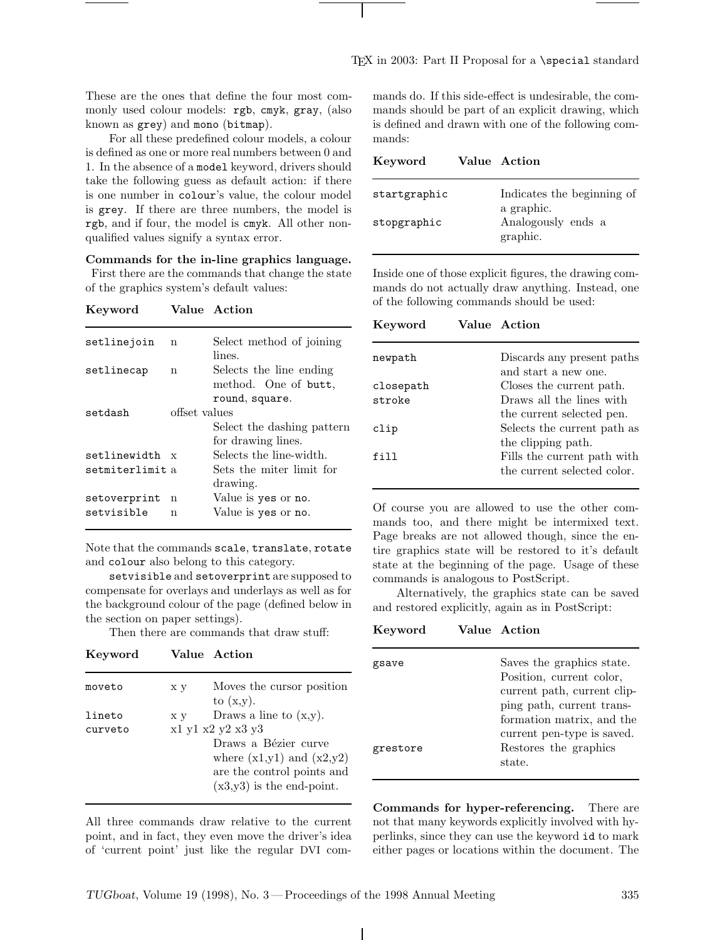These are the ones that define the four most commonly used colour models: rgb, cmyk, gray, (also known as grey) and mono (bitmap).

For all these predefined colour models, a colour is defined as one or more real numbers between 0 and 1. In the absence of a model keyword, drivers should take the following guess as default action: if there is one number in colour's value, the colour model is grey. If there are three numbers, the model is rgb, and if four, the model is cmyk. All other nonqualified values signify a syntax error.

**Commands for the in-line graphics language.**

First there are the commands that change the state of the graphics system's default values:

#### **Keyword Value Action**

| setlinejoin     | n             | Select method of joining          |
|-----------------|---------------|-----------------------------------|
| setlinecap      | n             | lines.<br>Selects the line ending |
|                 |               | method. One of butt,              |
|                 |               | round, square.                    |
| setdash         | offset values |                                   |
|                 |               | Select the dashing pattern        |
|                 |               | for drawing lines.                |
| setlinewidth    | $\mathbf{x}$  | Selects the line-width.           |
| setmiterlimit a |               | Sets the miter limit for          |
|                 |               | drawing.                          |
| setoverprint    | n             | Value is yes or no.               |
| setvisible      | n             | Value is yes or no.               |
|                 |               |                                   |

Note that the commands scale, translate, rotate and colour also belong to this category.

setvisible and setoverprint are supposed to compensate for overlays and underlays as well as for the background colour of the page (defined below in the section on paper settings).

Then there are commands that draw stuff:

| Keyword |  | Value Action |
|---------|--|--------------|
|---------|--|--------------|

| moveto  | x y | Moves the cursor position<br>to $(x,y)$ . |
|---------|-----|-------------------------------------------|
| lineto  | x y | Draws a line to $(x,y)$ .                 |
| curveto |     | x1 y1 x2 y2 x3 y3                         |
|         |     | Draws a Bézier curve                      |
|         |     | where $(x1,y1)$ and $(x2,y2)$             |
|         |     | are the control points and                |
|         |     | $(x3,y3)$ is the end-point.               |

All three commands draw relative to the current point, and in fact, they even move the driver's idea of 'current point' just like the regular DVI commands do. If this side-effect is undesirable, the commands should be part of an explicit drawing, which is defined and drawn with one of the following commands:

| Keyword      | Value Action                             |
|--------------|------------------------------------------|
| startgraphic | Indicates the beginning of<br>a graphic. |
| stopgraphic  | Analogously ends a<br>graphic.           |

Inside one of those explicit figures, the drawing commands do not actually draw anything. Instead, one of the following commands should be used:

**Keyword Value Action**

| newpath   | Discards any present paths<br>and start a new one. |
|-----------|----------------------------------------------------|
| closepath | Closes the current path.                           |
| stroke    | Draws all the lines with                           |
|           | the current selected pen.                          |
| clip      | Selects the current path as                        |
|           | the clipping path.                                 |
| fill      | Fills the current path with                        |
|           | the current selected color.                        |

Of course you are allowed to use the other commands too, and there might be intermixed text. Page breaks are not allowed though, since the entire graphics state will be restored to it's default state at the beginning of the page. Usage of these commands is analogous to PostScript.

Alternatively, the graphics state can be saved and restored explicitly, again as in PostScript:

**Keyword Value Action**

| gsave    | Saves the graphics state.<br>Position, current color,<br>current path, current clip-<br>ping path, current trans-<br>formation matrix, and the |
|----------|------------------------------------------------------------------------------------------------------------------------------------------------|
| grestore | current pen-type is saved.<br>Restores the graphics<br>state.                                                                                  |

**Commands for hyper-referencing.** There are not that many keywords explicitly involved with hyperlinks, since they can use the keyword id to mark either pages or locations within the document. The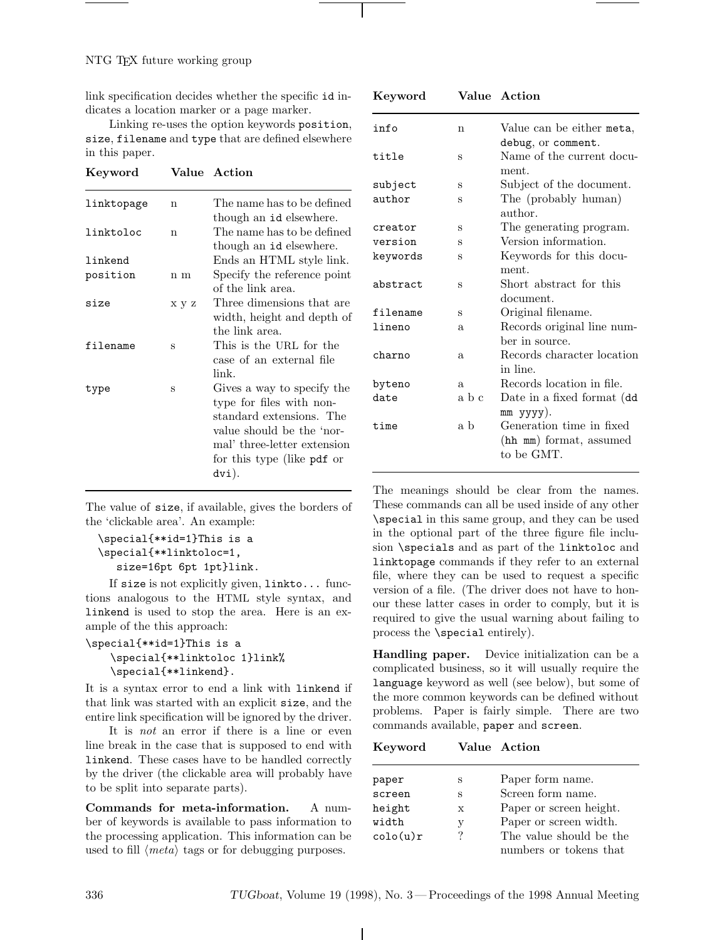link specification decides whether the specific id indicates a location marker or a page marker.

Linking re-uses the option keywords position, size, filename and type that are defined elsewhere in this paper.

| Keyword    |       | Value Action                                                                                                                                                                          |
|------------|-------|---------------------------------------------------------------------------------------------------------------------------------------------------------------------------------------|
| linktopage | n     | The name has to be defined<br>though an id elsewhere.                                                                                                                                 |
| linktoloc  | n     | The name has to be defined<br>though an id elsewhere.                                                                                                                                 |
| linkend    |       | Ends an HTML style link.                                                                                                                                                              |
| position   | n m   | Specify the reference point<br>of the link area.                                                                                                                                      |
| size       | x y z | Three dimensions that are<br>width, height and depth of<br>the link area.                                                                                                             |
| filename   | S     | This is the URL for the<br>case of an external file<br>link.                                                                                                                          |
| type       | S     | Gives a way to specify the<br>type for files with non-<br>standard extensions. The<br>value should be the 'nor-<br>mal' three-letter extension<br>for this type (like pdf or<br>dvi). |

|                                   |  |  | The value of size, if available, gives the borders of |  |
|-----------------------------------|--|--|-------------------------------------------------------|--|
| the 'clickable area'. An example: |  |  |                                                       |  |

```
\special{**id=1}This is a
\special{**linktoloc=1,
   size=16pt 6pt 1pt}link.
```
If size is not explicitly given, linkto... functions analogous to the HTML style syntax, and linkend is used to stop the area. Here is an example of the this approach:

```
\special{**id=1}This is a
    \special{**linktoloc 1}link%
    \special{**linkend}.
```
It is a syntax error to end a link with linkend if that link was started with an explicit size, and the entire link specification will be ignored by the driver.

It is not an error if there is a line or even line break in the case that is supposed to end with linkend. These cases have to be handled correctly by the driver (the clickable area will probably have to be split into separate parts).

**Commands for meta-information.** A number of keywords is available to pass information to the processing application. This information can be used to fill  $\langle meta \rangle$  tags or for debugging purposes.

| Keyword  |       | Value Action                                                      |
|----------|-------|-------------------------------------------------------------------|
| info     | n     | Value can be either meta,<br>debug, or comment.                   |
| title    | S     | Name of the current docu-<br>ment.                                |
| subject  | S     | Subject of the document.                                          |
| author   | S     | The (probably human)<br>author.                                   |
| creator  | S     | The generating program.                                           |
| version  | S     | Version information.                                              |
| keywords | S     | Keywords for this docu-<br>ment.                                  |
| abstract | S     | Short abstract for this<br>document.                              |
| filename | S     | Original filename.                                                |
| lineno   | a     | Records original line num-<br>ber in source.                      |
| charno   | a     | Records character location<br>in line.                            |
| byteno   | a     | Records location in file.                                         |
| date     | a b c | Date in a fixed format (dd<br>mm yyyy).                           |
| time     | a b   | Generation time in fixed<br>(hh mm) format, assumed<br>to be GMT. |

The meanings should be clear from the names. These commands can all be used inside of any other \special in this same group, and they can be used in the optional part of the three figure file inclusion \specials and as part of the linktoloc and linktopage commands if they refer to an external file, where they can be used to request a specific version of a file. (The driver does not have to honour these latter cases in order to comply, but it is required to give the usual warning about failing to process the \special entirely).

**Handling paper.** Device initialization can be a complicated business, so it will usually require the language keyword as well (see below), but some of the more common keywords can be defined without problems. Paper is fairly simple. There are two commands available, paper and screen.

#### **Keyword Value Action**

| paper    | S | Paper form name.        |
|----------|---|-------------------------|
| screen   | S | Screen form name.       |
| height   | X | Paper or screen height. |
| width    | у | Paper or screen width.  |
| colo(u)r | ? | The value should be the |
|          |   | numbers or tokens that  |